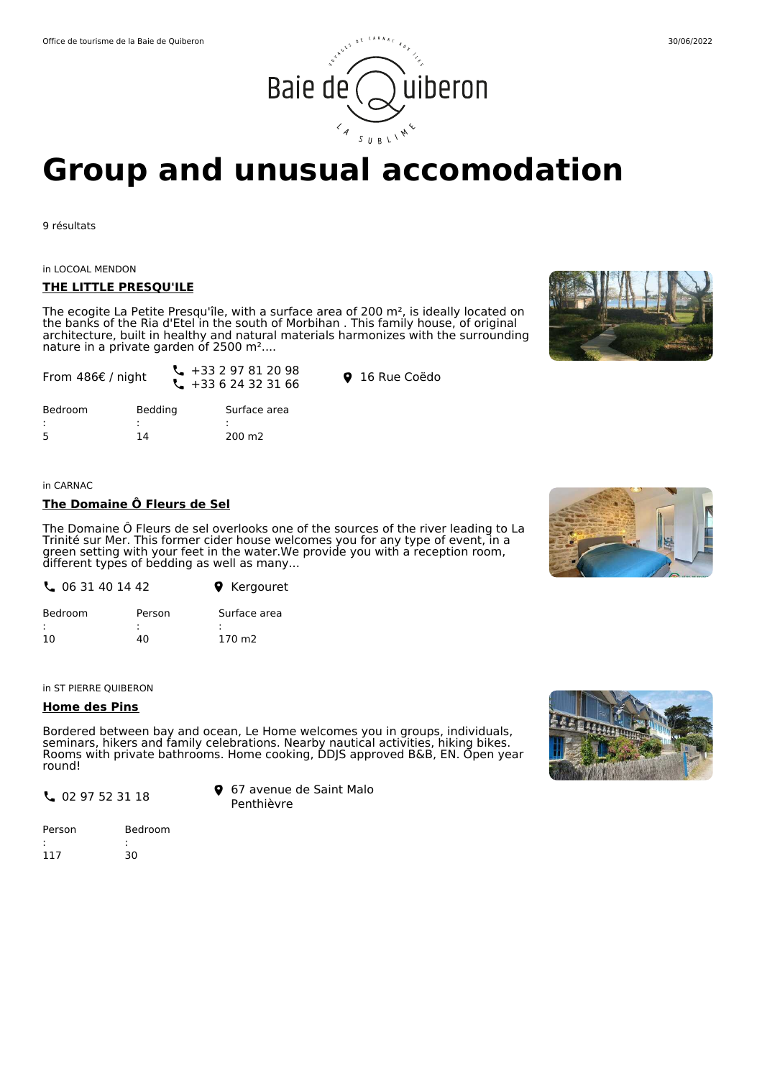# Office de tourisme de la Baie de Quiberon 30/06/2022 iuiberon Baie de

# **Group and unusual accomodation**

9 résultats

in LOCOAL MENDON

From 486€ / night

#### **THE LITTLE PRESQU'ILE**

The ecogite La Petite Presqu'île, with a surface area of 200  $m<sup>2</sup>$ , is ideally located on the banks of the Ria d'Etel in the south of Morbihan . This family house, of original architecture, built in healthy and natural materials harmonizes with the surrounding nature in a private garden of 2500 m<sup>2</sup>....

 $\begin{array}{ccc} \begin{array}{ccc} \diagup & +33 & 2 & 97 & 01 & 20 & 90 \\ \diagdown & +33 & 6 & 24 & 32 & 31 & 66 \end{array} \end{array}$  **9** 16 Rue Coëdo

Surface area

: 200 m2

 $\leftarrow$  +33 2 97 81 20 98



| in CARNAC |
|-----------|

Bedroom : 5

### **The Domaine Ô Fleurs de Sel**

Bedding : 14

The Domaine Ô Fleurs de sel overlooks one of the sources of the river leading to La Trinité sur Mer. This former cider house welcomes you for any type of event, in a green setting with your feet in the water.We provide you with a reception room, different types of bedding as well as many...

| <b>Q</b> Kergouret |
|--------------------|
|                    |

| <b>Bedroom</b> | Person | Surface area       |
|----------------|--------|--------------------|
| ٠<br>٠.        |        |                    |
| 10             | 40     | 170 m <sub>2</sub> |

in ST PIERRE QUIBERON

#### **Home des Pins**

Bordered between bay and ocean, Le Home welcomes you in groups, individuals, seminars, hikers and family celebrations. Nearby nautical activities, hiking bikes. Rooms with private bathrooms. Home cooking, DDJS approved B&B, EN. Open year round!

02 97 52 31 18

67 avenue de Saint Malo Penthièvre

| Person | Bedroom |
|--------|---------|
| ٠      |         |
| 117    | 30      |

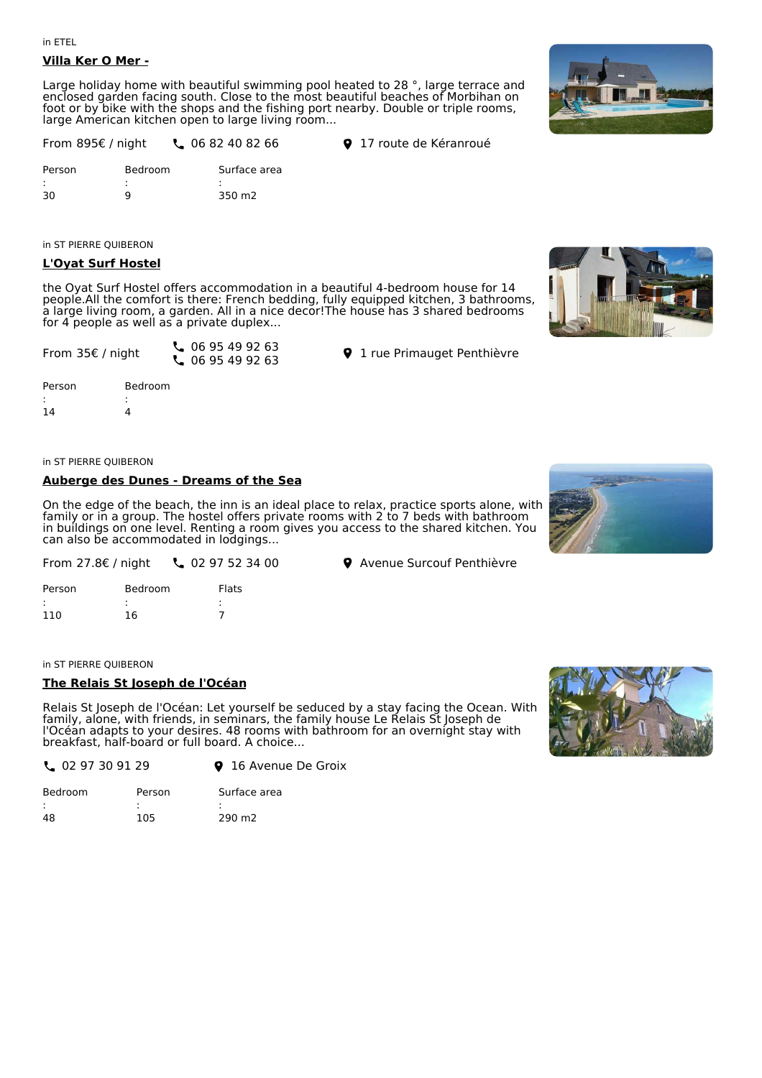#### in ETEL

#### **Villa Ker O Mer -**

Large holiday home with beautiful swimming pool heated to 28 °, large terrace and enclosed garden facing south. Close to the most beautiful beaches of Morbihan on foot or by bike with the shops and the fishing port nearby. Double or triple rooms, large American kitchen open to large living room...



**L** 06 82 40 82 66 **9** 17 route de Kéranroué

in ST PIERRE QUIBERON

#### **L'Oyat Surf Hostel**

the Oyat Surf Hostel offers accommodation in a beautiful 4-bedroom house for 14 people.All the comfort is there: French bedding, fully equipped kitchen, 3 bathrooms, a large living room, a garden. All in a nice decor!The house has 3 shared bedrooms for 4 people as well as a private duplex...

| From 35€ / night | $\binom{1}{2}$ 06 95 49 92 63 |
|------------------|-------------------------------|
|                  | $\frac{1}{2}$ 06 95 49 92 63  |

Bedroom : 4

**9** 1 rue Primauget Penthièvre

**9** Avenue Surcouf Penthièvre

Person : 14

#### **Auberge des Dunes - Dreams of the Sea**

On the edge of the beach, the inn is an ideal place to relax, practice sports alone, with family or in a group. The hostel offers private rooms with 2 to 7 beds with bathroom in buildings on one level. Renting a room gives you access to the shared kitchen. You can also be accommodated in lodgings...



| From 27.8 $\epsilon$ / night | 297523400 |
|------------------------------|-----------|
|------------------------------|-----------|

| Person | Bedroom | Flats |
|--------|---------|-------|
| ٠      | ٠<br>٠  | ٠     |
| 110    | 16      |       |

in ST PIERRE QUIBERON

#### **The Relais St Joseph de l'Océan**

Relais St Joseph de l'Océan: Let yourself be seduced by a stay facing the Ocean. With family, alone, with friends, in seminars, the family house Le Relais St Joseph de l'Océan adapts to your desires. 48 rooms with bathroom for an overnight stay with breakfast, half-board or full board. A choice...



| $\frac{1}{2}$ 02 97 30 91 29<br><b>9</b> 16 Avenue De Groix |  |
|-------------------------------------------------------------|--|
|-------------------------------------------------------------|--|

| <b>Bedroom</b> | Person | Surface area       |
|----------------|--------|--------------------|
|                |        |                    |
| 48             | 105    | 290 m <sub>2</sub> |